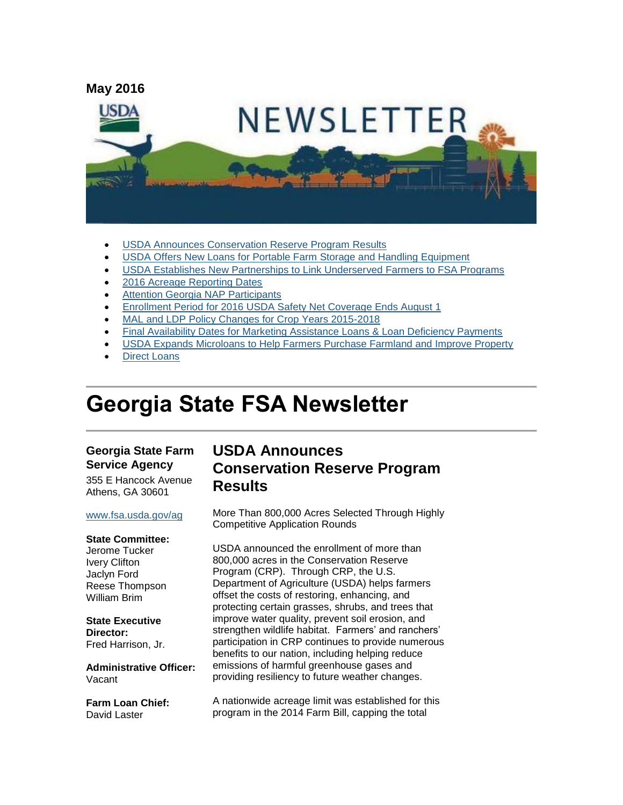

- [USDA Announces Conservation Reserve Program Results](#page-0-0)
- [USDA Offers New Loans for Portable Farm Storage and Handling Equipment](#page-2-0)
- [USDA Establishes New Partnerships to Link Underserved Farmers to FSA Programs](#page-2-1)
- [2016 Acreage Reporting Dates](#page-3-0)
- [Attention Georgia NAP Participants](#page-3-1)
- [Enrollment Period for 2016 USDA Safety Net Coverage Ends August 1](#page-4-0)
- [MAL and LDP Policy Changes for Crop Years 2015-2018](#page-4-1)
- [Final Availability Dates for Marketing Assistance Loans & Loan Deficiency Payments](#page-5-0)
- [USDA Expands Microloans to Help Farmers Purchase Farmland and Improve Property](#page-5-1)
- [Direct Loans](#page-6-0)

# **Georgia State FSA Newsletter**

#### **Georgia State Farm Service Agency**

355 E Hancock Avenue Athens, GA 30601

#### [www.fsa.usda.gov/ag](http://www.fsa.usda.gov/ag)

#### **State Committee:**

Jerome Tucker Ivery Clifton Jaclyn Ford Reese Thompson William Brim

#### **State Executive Director:** Fred Harrison, Jr.

**Administrative Officer:** Vacant

**Farm Loan Chief:** David Laster

### <span id="page-0-0"></span>**USDA Announces Conservation Reserve Program Results**

More Than 800,000 Acres Selected Through Highly Competitive Application Rounds

USDA announced the enrollment of more than 800,000 acres in the Conservation Reserve Program (CRP). Through CRP, the U.S. Department of Agriculture (USDA) helps farmers offset the costs of restoring, enhancing, and protecting certain grasses, shrubs, and trees that improve water quality, prevent soil erosion, and strengthen wildlife habitat. Farmers' and ranchers' participation in CRP continues to provide numerous benefits to our nation, including helping reduce emissions of harmful greenhouse gases and providing resiliency to future weather changes.

A nationwide acreage limit was established for this program in the 2014 Farm Bill, capping the total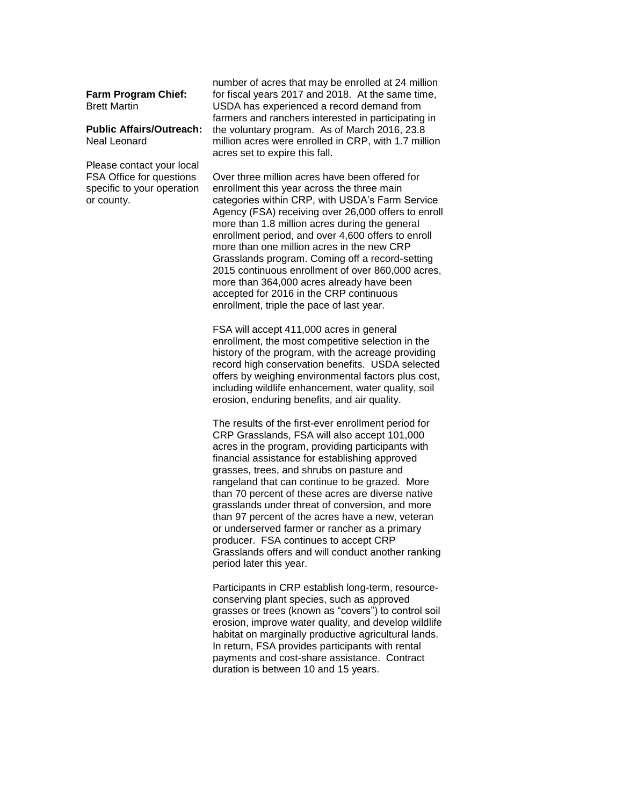**Farm Program Chief:** Brett Martin

#### **Public Affairs/Outreach:** Neal Leonard

Please contact your local FSA Office for questions specific to your operation or county.

number of acres that may be enrolled at 24 million for fiscal years 2017 and 2018. At the same time, USDA has experienced a record demand from farmers and ranchers interested in participating in the voluntary program. As of March 2016, 23.8 million acres were enrolled in CRP, with 1.7 million acres set to expire this fall.

Over three million acres have been offered for enrollment this year across the three main categories within CRP, with USDA's Farm Service Agency (FSA) receiving over 26,000 offers to enroll more than 1.8 million acres during the general enrollment period, and over 4,600 offers to enroll more than one million acres in the new CRP Grasslands program. Coming off a record-setting 2015 continuous enrollment of over 860,000 acres, more than 364,000 acres already have been accepted for 2016 in the CRP continuous enrollment, triple the pace of last year.

FSA will accept 411,000 acres in general enrollment, the most competitive selection in the history of the program, with the acreage providing record high conservation benefits. USDA selected offers by weighing environmental factors plus cost, including wildlife enhancement, water quality, soil erosion, enduring benefits, and air quality.

The results of the first-ever enrollment period for CRP Grasslands, FSA will also accept 101,000 acres in the program, providing participants with financial assistance for establishing approved grasses, trees, and shrubs on pasture and rangeland that can continue to be grazed. More than 70 percent of these acres are diverse native grasslands under threat of conversion, and more than 97 percent of the acres have a new, veteran or underserved farmer or rancher as a primary producer. FSA continues to accept CRP Grasslands offers and will conduct another ranking period later this year.

Participants in CRP establish long-term, resourceconserving plant species, such as approved grasses or trees (known as "covers") to control soil erosion, improve water quality, and develop wildlife habitat on marginally productive agricultural lands. In return, FSA provides participants with rental payments and cost-share assistance. Contract duration is between 10 and 15 years.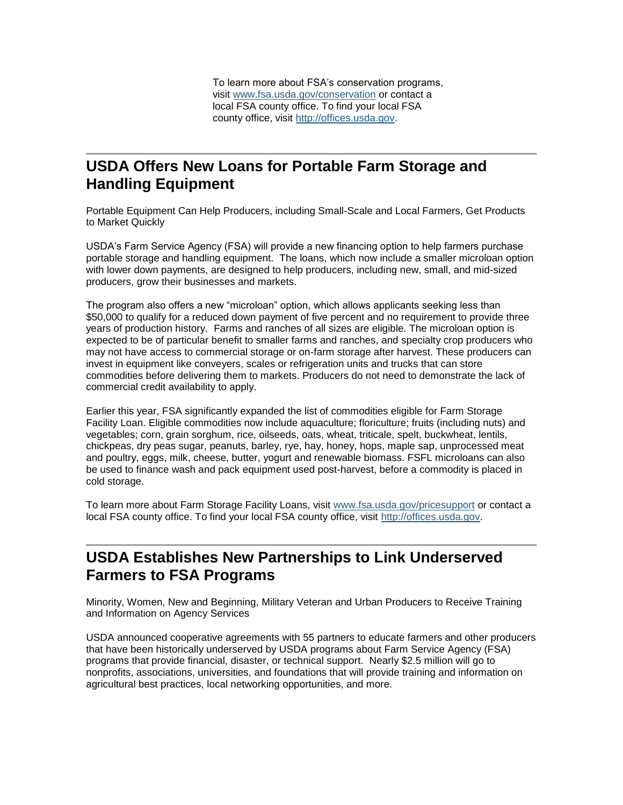To learn more about FSA's conservation programs, visit [www.fsa.usda.gov/conservation](http://www.fsa.usda.gov/conservation) or contact a local FSA county office. To find your local FSA county office, visit [http://offices.usda.gov.](http://offices.usda.gov/)

# <span id="page-2-0"></span>**USDA Offers New Loans for Portable Farm Storage and Handling Equipment**

Portable Equipment Can Help Producers, including Small-Scale and Local Farmers, Get Products to Market Quickly

USDA's Farm Service Agency (FSA) will provide a new financing option to help farmers purchase portable storage and handling equipment. The loans, which now include a smaller microloan option with lower down payments, are designed to help producers, including new, small, and mid-sized producers, grow their businesses and markets.

The program also offers a new "microloan" option, which allows applicants seeking less than \$50,000 to qualify for a reduced down payment of five percent and no requirement to provide three years of production history. Farms and ranches of all sizes are eligible. The microloan option is expected to be of particular benefit to smaller farms and ranches, and specialty crop producers who may not have access to commercial storage or on-farm storage after harvest. These producers can invest in equipment like conveyers, scales or refrigeration units and trucks that can store commodities before delivering them to markets. Producers do not need to demonstrate the lack of commercial credit availability to apply.

Earlier this year, FSA significantly expanded the list of commodities eligible for Farm Storage Facility Loan. Eligible commodities now include aquaculture; floriculture; fruits (including nuts) and vegetables; corn, grain sorghum, rice, oilseeds, oats, wheat, triticale, spelt, buckwheat, lentils, chickpeas, dry peas sugar, peanuts, barley, rye, hay, honey, hops, maple sap, unprocessed meat and poultry, eggs, milk, cheese, butter, yogurt and renewable biomass. FSFL microloans can also be used to finance wash and pack equipment used post-harvest, before a commodity is placed in cold storage.

To learn more about Farm Storage Facility Loans, visit [www.fsa.usda.gov/pricesupport](http://www.fsa.usda.gov/pricesupport) or contact a local FSA county office. To find your local FSA county office, visit [http://offices.usda.gov.](http://offices.usda.gov/)

# <span id="page-2-1"></span>**USDA Establishes New Partnerships to Link Underserved Farmers to FSA Programs**

Minority, Women, New and Beginning, Military Veteran and Urban Producers to Receive Training and Information on Agency Services

USDA announced cooperative agreements with 55 partners to educate farmers and other producers that have been historically underserved by USDA programs about Farm Service Agency (FSA) programs that provide financial, disaster, or technical support. Nearly \$2.5 million will go to nonprofits, associations, universities, and foundations that will provide training and information on agricultural best practices, local networking opportunities, and more.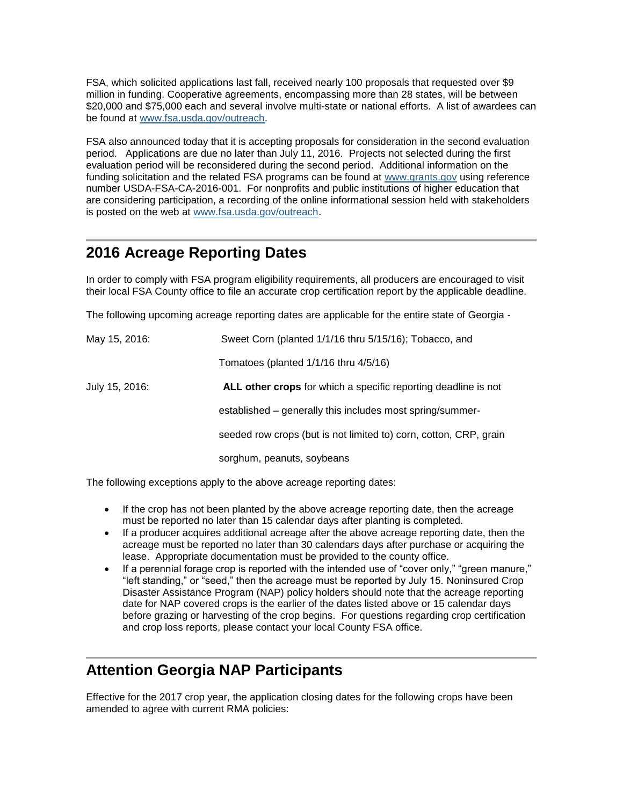FSA, which solicited applications last fall, received nearly 100 proposals that requested over \$9 million in funding. Cooperative agreements, encompassing more than 28 states, will be between \$20,000 and \$75,000 each and several involve multi-state or national efforts. A list of awardees can be found at [www.fsa.usda.gov/outreach.](http://www.fsa.usda.gov/outreach)

FSA also announced today that it is accepting proposals for consideration in the second evaluation period. Applications are due no later than July 11, 2016. Projects not selected during the first evaluation period will be reconsidered during the second period. Additional information on the funding solicitation and the related FSA programs can be found at [www.grants.gov](http://www.grants.gov/) using reference number USDA-FSA-CA-2016-001. For nonprofits and public institutions of higher education that are considering participation, a recording of the online informational session held with stakeholders is posted on the web at [www.fsa.usda.gov/outreach.](http://www.fsa.usda.gov/outreach)

## <span id="page-3-0"></span>**2016 Acreage Reporting Dates**

In order to comply with FSA program eligibility requirements, all producers are encouraged to visit their local FSA County office to file an accurate crop certification report by the applicable deadline.

The following upcoming acreage reporting dates are applicable for the entire state of Georgia -

| May 15, 2016:  | Sweet Corn (planted 1/1/16 thru 5/15/16); Tobacco, and            |
|----------------|-------------------------------------------------------------------|
|                | Tomatoes (planted 1/1/16 thru 4/5/16)                             |
| July 15, 2016: | ALL other crops for which a specific reporting deadline is not    |
|                | established – generally this includes most spring/summer-         |
|                | seeded row crops (but is not limited to) corn, cotton, CRP, grain |
|                | sorghum, peanuts, soybeans                                        |

The following exceptions apply to the above acreage reporting dates:

- If the crop has not been planted by the above acreage reporting date, then the acreage must be reported no later than 15 calendar days after planting is completed.
- If a producer acquires additional acreage after the above acreage reporting date, then the acreage must be reported no later than 30 calendars days after purchase or acquiring the lease. Appropriate documentation must be provided to the county office.
- If a perennial forage crop is reported with the intended use of "cover only," "green manure," "left standing," or "seed," then the acreage must be reported by July 15. Noninsured Crop Disaster Assistance Program (NAP) policy holders should note that the acreage reporting date for NAP covered crops is the earlier of the dates listed above or 15 calendar days before grazing or harvesting of the crop begins. For questions regarding crop certification and crop loss reports, please contact your local County FSA office.

# <span id="page-3-1"></span>**Attention Georgia NAP Participants**

Effective for the 2017 crop year, the application closing dates for the following crops have been amended to agree with current RMA policies: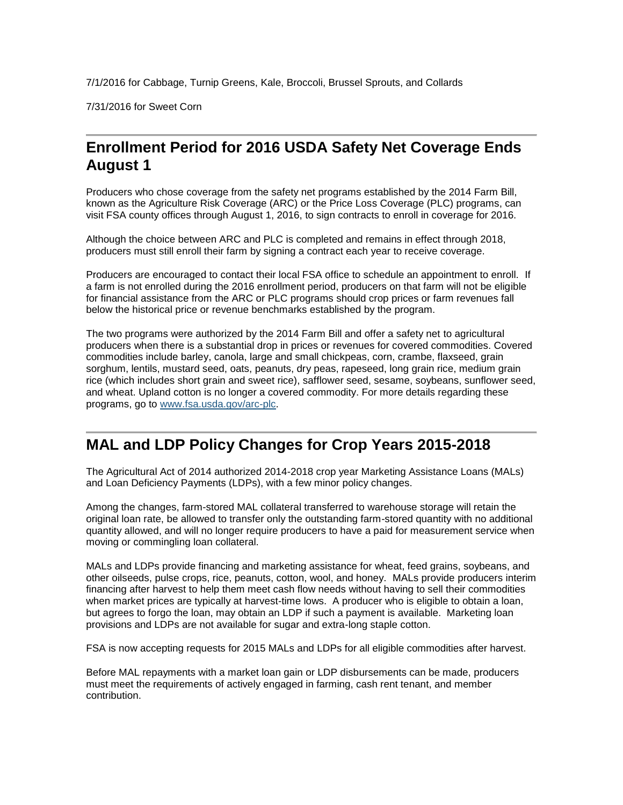7/1/2016 for Cabbage, Turnip Greens, Kale, Broccoli, Brussel Sprouts, and Collards

7/31/2016 for Sweet Corn

# <span id="page-4-0"></span>**Enrollment Period for 2016 USDA Safety Net Coverage Ends August 1**

Producers who chose coverage from the safety net programs established by the 2014 Farm Bill, known as the Agriculture Risk Coverage (ARC) or the Price Loss Coverage (PLC) programs, can visit FSA county offices through August 1, 2016, to sign contracts to enroll in coverage for 2016.

Although the choice between ARC and PLC is completed and remains in effect through 2018, producers must still enroll their farm by signing a contract each year to receive coverage.

Producers are encouraged to contact their local FSA office to schedule an appointment to enroll. If a farm is not enrolled during the 2016 enrollment period, producers on that farm will not be eligible for financial assistance from the ARC or PLC programs should crop prices or farm revenues fall below the historical price or revenue benchmarks established by the program.

The two programs were authorized by the 2014 Farm Bill and offer a safety net to agricultural producers when there is a substantial drop in prices or revenues for covered commodities. Covered commodities include barley, canola, large and small chickpeas, corn, crambe, flaxseed, grain sorghum, lentils, mustard seed, oats, peanuts, dry peas, rapeseed, long grain rice, medium grain rice (which includes short grain and sweet rice), safflower seed, sesame, soybeans, sunflower seed, and wheat. Upland cotton is no longer a covered commodity. For more details regarding these programs, go to [www.fsa.usda.gov/arc-plc.](http://www.fsa.usda.gov/arc-plc)

### <span id="page-4-1"></span>**MAL and LDP Policy Changes for Crop Years 2015-2018**

The Agricultural Act of 2014 authorized 2014-2018 crop year Marketing Assistance Loans (MALs) and Loan Deficiency Payments (LDPs), with a few minor policy changes.

Among the changes, farm-stored MAL collateral transferred to warehouse storage will retain the original loan rate, be allowed to transfer only the outstanding farm-stored quantity with no additional quantity allowed, and will no longer require producers to have a paid for measurement service when moving or commingling loan collateral.

MALs and LDPs provide financing and marketing assistance for wheat, feed grains, soybeans, and other oilseeds, pulse crops, rice, peanuts, cotton, wool, and honey. MALs provide producers interim financing after harvest to help them meet cash flow needs without having to sell their commodities when market prices are typically at harvest-time lows. A producer who is eligible to obtain a loan, but agrees to forgo the loan, may obtain an LDP if such a payment is available. Marketing loan provisions and LDPs are not available for sugar and extra-long staple cotton.

FSA is now accepting requests for 2015 MALs and LDPs for all eligible commodities after harvest.

Before MAL repayments with a market loan gain or LDP disbursements can be made, producers must meet the requirements of actively engaged in farming, cash rent tenant, and member contribution.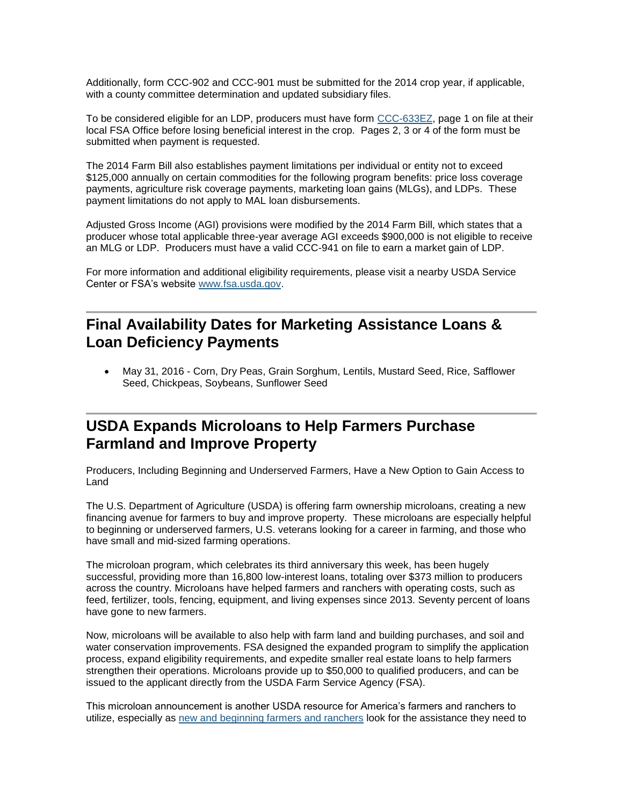Additionally, form CCC-902 and CCC-901 must be submitted for the 2014 crop year, if applicable, with a county committee determination and updated subsidiary files.

To be considered eligible for an LDP, producers must have form [CCC-633EZ,](http://forms.sc.egov.usda.gov/efcommon/eFileServices/eFormsAdmin/CCC0633EZ_140328V03.pdf) page 1 on file at their local FSA Office before losing beneficial interest in the crop. Pages 2, 3 or 4 of the form must be submitted when payment is requested.

The 2014 Farm Bill also establishes payment limitations per individual or entity not to exceed \$125,000 annually on certain commodities for the following program benefits: price loss coverage payments, agriculture risk coverage payments, marketing loan gains (MLGs), and LDPs. These payment limitations do not apply to MAL loan disbursements.

Adjusted Gross Income (AGI) provisions were modified by the 2014 Farm Bill, which states that a producer whose total applicable three-year average AGI exceeds \$900,000 is not eligible to receive an MLG or LDP. Producers must have a valid CCC-941 on file to earn a market gain of LDP.

For more information and additional eligibility requirements, please visit a nearby USDA Service Center or FSA's website [www.fsa.usda.gov.](http://www.fsa.usda.gov/)

### <span id="page-5-0"></span>**Final Availability Dates for Marketing Assistance Loans & Loan Deficiency Payments**

 May 31, 2016 - Corn, Dry Peas, Grain Sorghum, Lentils, Mustard Seed, Rice, Safflower Seed, Chickpeas, Soybeans, Sunflower Seed

## <span id="page-5-1"></span>**USDA Expands Microloans to Help Farmers Purchase Farmland and Improve Property**

Producers, Including Beginning and Underserved Farmers, Have a New Option to Gain Access to Land

The U.S. Department of Agriculture (USDA) is offering farm ownership microloans, creating a new financing avenue for farmers to buy and improve property. These microloans are especially helpful to beginning or underserved farmers, U.S. veterans looking for a career in farming, and those who have small and mid-sized farming operations.

The microloan program, which celebrates its third anniversary this week, has been hugely successful, providing more than 16,800 low-interest loans, totaling over \$373 million to producers across the country. Microloans have helped farmers and ranchers with operating costs, such as feed, fertilizer, tools, fencing, equipment, and living expenses since 2013. Seventy percent of loans have gone to new farmers.

Now, microloans will be available to also help with farm land and building purchases, and soil and water conservation improvements. FSA designed the expanded program to simplify the application process, expand eligibility requirements, and expedite smaller real estate loans to help farmers strengthen their operations. Microloans provide up to \$50,000 to qualified producers, and can be issued to the applicant directly from the USDA Farm Service Agency (FSA).

This microloan announcement is another USDA resource for America's farmers and ranchers to utilize, especially as [new and beginning farmers and ranchers](http://www.usda.gov/newfarmers) look for the assistance they need to